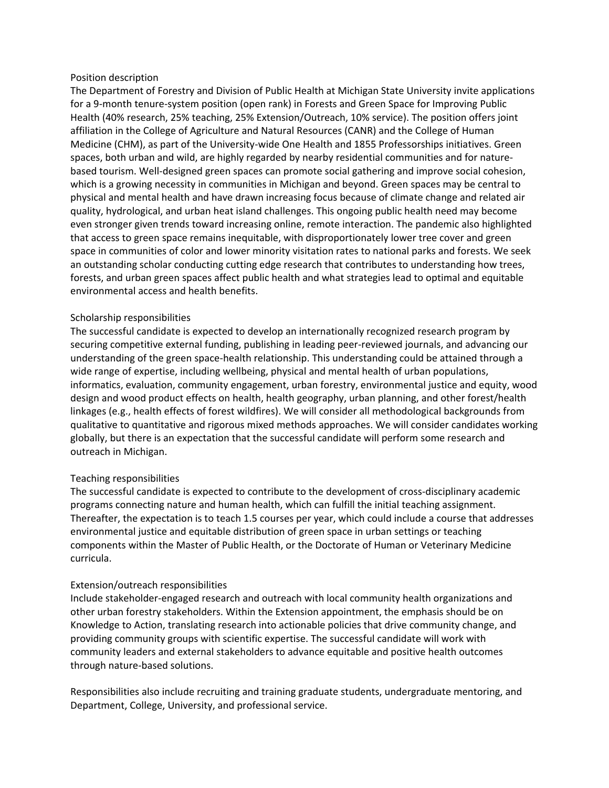### Position description

The Department of Forestry and Division of Public Health at Michigan State University invite applications for a 9-month tenure-system position (open rank) in Forests and Green Space for Improving Public Health (40% research, 25% teaching, 25% Extension/Outreach, 10% service). The position offers joint affiliation in the College of Agriculture and Natural Resources (CANR) and the College of Human Medicine (CHM), as part of the University-wide One Health and 1855 Professorships initiatives. Green spaces, both urban and wild, are highly regarded by nearby residential communities and for naturebased tourism. Well-designed green spaces can promote social gathering and improve social cohesion, which is a growing necessity in communities in Michigan and beyond. Green spaces may be central to physical and mental health and have drawn increasing focus because of climate change and related air quality, hydrological, and urban heat island challenges. This ongoing public health need may become even stronger given trends toward increasing online, remote interaction. The pandemic also highlighted that access to green space remains inequitable, with disproportionately lower tree cover and green space in communities of color and lower minority visitation rates to national parks and forests. We seek an outstanding scholar conducting cutting edge research that contributes to understanding how trees, forests, and urban green spaces affect public health and what strategies lead to optimal and equitable environmental access and health benefits.

### Scholarship responsibilities

The successful candidate is expected to develop an internationally recognized research program by securing competitive external funding, publishing in leading peer-reviewed journals, and advancing our understanding of the green space-health relationship. This understanding could be attained through a wide range of expertise, including wellbeing, physical and mental health of urban populations, informatics, evaluation, community engagement, urban forestry, environmental justice and equity, wood design and wood product effects on health, health geography, urban planning, and other forest/health linkages (e.g., health effects of forest wildfires). We will consider all methodological backgrounds from qualitative to quantitative and rigorous mixed methods approaches. We will consider candidates working globally, but there is an expectation that the successful candidate will perform some research and outreach in Michigan.

## Teaching responsibilities

The successful candidate is expected to contribute to the development of cross-disciplinary academic programs connecting nature and human health, which can fulfill the initial teaching assignment. Thereafter, the expectation is to teach 1.5 courses per year, which could include a course that addresses environmental justice and equitable distribution of green space in urban settings or teaching components within the Master of Public Health, or the Doctorate of Human or Veterinary Medicine curricula.

## Extension/outreach responsibilities

Include stakeholder-engaged research and outreach with local community health organizations and other urban forestry stakeholders. Within the Extension appointment, the emphasis should be on Knowledge to Action, translating research into actionable policies that drive community change, and providing community groups with scientific expertise. The successful candidate will work with community leaders and external stakeholders to advance equitable and positive health outcomes through nature-based solutions.

Responsibilities also include recruiting and training graduate students, undergraduate mentoring, and Department, College, University, and professional service.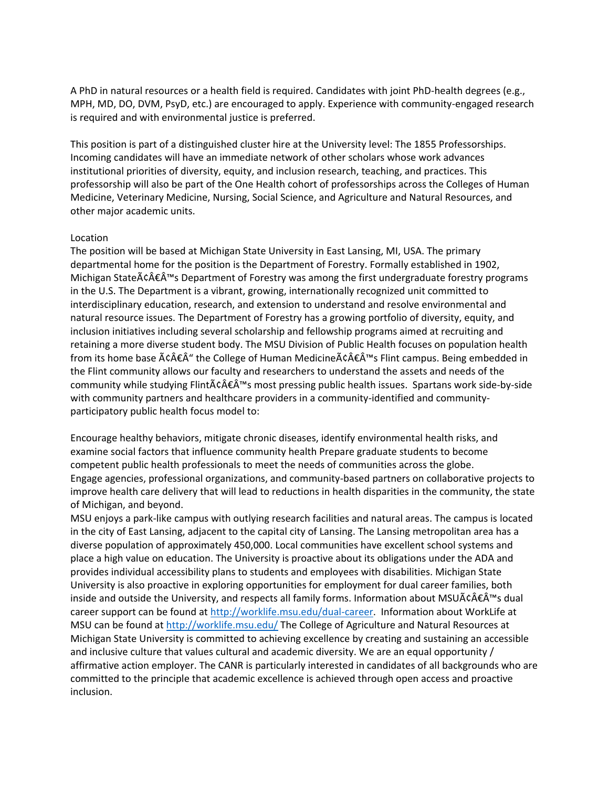A PhD in natural resources or a health field is required. Candidates with joint PhD-health degrees (e.g., MPH, MD, DO, DVM, PsyD, etc.) are encouraged to apply. Experience with community-engaged research is required and with environmental justice is preferred.

This position is part of a distinguished cluster hire at the University level: The 1855 Professorships. Incoming candidates will have an immediate network of other scholars whose work advances institutional priorities of diversity, equity, and inclusion research, teaching, and practices. This professorship will also be part of the One Health cohort of professorships across the Colleges of Human Medicine, Veterinary Medicine, Nursing, Social Science, and Agriculture and Natural Resources, and other major academic units.

### Location

The position will be based at Michigan State University in East Lansing, MI, USA. The primary departmental home for the position is the Department of Forestry. Formally established in 1902, Michigan State $\tilde{A} \in \hat{A}^{\text{tm}}$ s Department of Forestry was among the first undergraduate forestry programs in the U.S. The Department is a vibrant, growing, internationally recognized unit committed to interdisciplinary education, research, and extension to understand and resolve environmental and natural resource issues. The Department of Forestry has a growing portfolio of diversity, equity, and inclusion initiatives including several scholarship and fellowship programs aimed at recruiting and retaining a more diverse student body. The MSU Division of Public Health focuses on population health from its home base  $\tilde{A}\tilde{c}\hat{A}\tilde{E}\hat{A}''$  the College of Human Medicine $\tilde{A}\tilde{c}\hat{A}\tilde{E}\hat{A}'''$ s Flint campus. Being embedded in the Flint community allows our faculty and researchers to understand the assets and needs of the community while studying Flint $\tilde{A}c\hat{A}\tilde{\epsilon} \hat{A}^{m}$ s most pressing public health issues. Spartans work side-by-side with community partners and healthcare providers in a community-identified and communityparticipatory public health focus model to:

Encourage healthy behaviors, mitigate chronic diseases, identify environmental health risks, and examine social factors that influence community health Prepare graduate students to become competent public health professionals to meet the needs of communities across the globe. Engage agencies, professional organizations, and community-based partners on collaborative projects to improve health care delivery that will lead to reductions in health disparities in the community, the state of Michigan, and beyond.

MSU enjoys a park-like campus with outlying research facilities and natural areas. The campus is located in the city of East Lansing, adjacent to the capital city of Lansing. The Lansing metropolitan area has a diverse population of approximately 450,000. Local communities have excellent school systems and place a high value on education. The University is proactive about its obligations under the ADA and provides individual accessibility plans to students and employees with disabilities. Michigan State University is also proactive in exploring opportunities for employment for dual career families, both inside and outside the University, and respects all family forms. Information about MSUA $\zeta \wedge \zeta \in \widehat{A}^{\text{TM}}$ s dual career support can be found a[t http://worklife.msu.edu/dual-career.](http://worklife.msu.edu/dual-career) Information about WorkLife at MSU can be found at<http://worklife.msu.edu/> The College of Agriculture and Natural Resources at Michigan State University is committed to achieving excellence by creating and sustaining an accessible and inclusive culture that values cultural and academic diversity. We are an equal opportunity / affirmative action employer. The CANR is particularly interested in candidates of all backgrounds who are committed to the principle that academic excellence is achieved through open access and proactive inclusion.